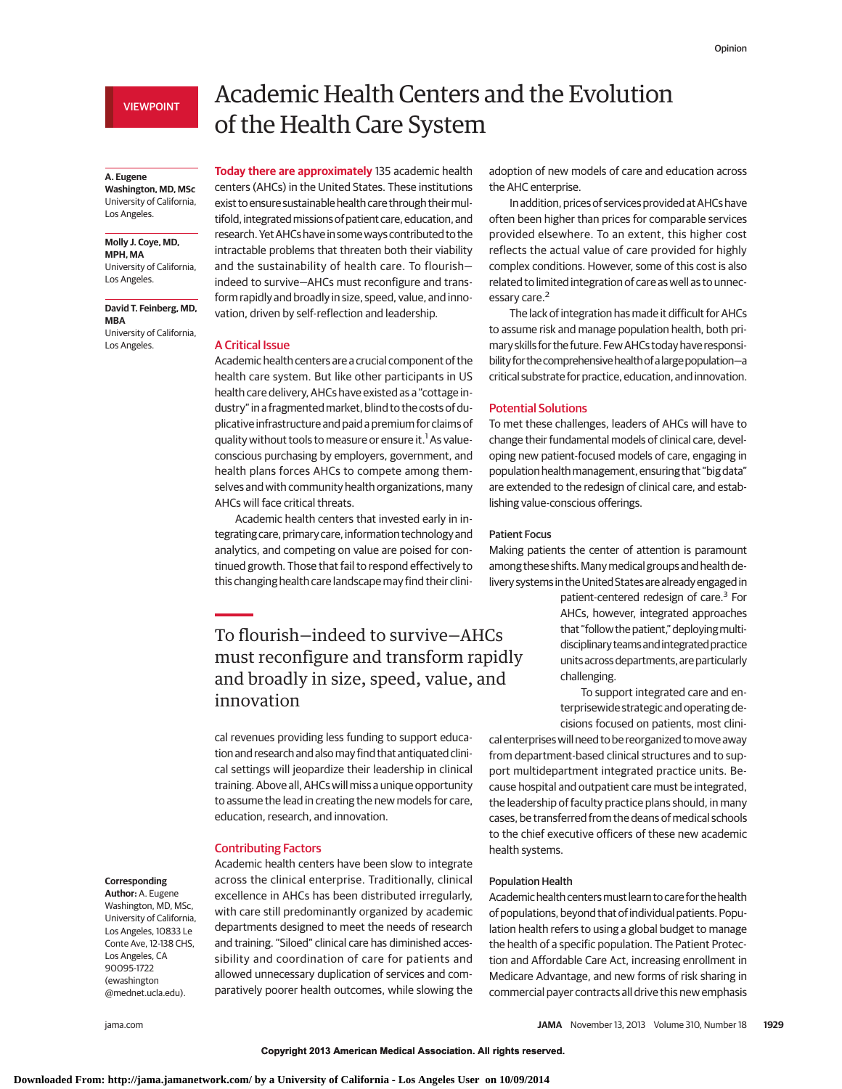VIEWPOINT

#### **A. Eugene**

**Washington, MD, MSc** University of California, Los Angeles.

#### **Molly J. Coye, MD, MPH, MA**

University of California, Los Angeles.

**David T. Feinberg, MD, MBA**

University of California, Los Angeles.

# Academic Health Centers and the Evolution of the Health Care System

**Today there are approximately** 135 academic health centers (AHCs) in the United States. These institutions exist to ensure sustainable health care through their multifold, integrated missions of patient care, education, and research. YetAHCs have in someways contributed to the intractable problems that threaten both their viability and the sustainability of health care. To flourish indeed to survive—AHCs must reconfigure and transform rapidly and broadly in size, speed, value, and innovation, driven by self-reflection and leadership.

### A Critical Issue

Academic health centers are a crucial component of the health care system. But like other participants in US health care delivery, AHCs have existed as a "cottage industry" in a fragmented market, blind to the costs of duplicative infrastructure and paid a premium for claims of quality without tools to measure or ensure it.<sup>1</sup> As valueconscious purchasing by employers, government, and health plans forces AHCs to compete among themselves and with community health organizations, many AHCs will face critical threats.

Academic health centers that invested early in integrating care, primary care, information technology and analytics, and competing on value are poised for continued growth. Those that fail to respond effectively to this changing health care landscape may find their clini-

To flourish—indeed to survive—AHCs must reconfigure and transform rapidly and broadly in size, speed, value, and innovation

cal revenues providing less funding to support education and research and alsomay find that antiquated clinical settings will jeopardize their leadership in clinical training. Above all, AHCs will miss a unique opportunity to assume the lead in creating the new models for care, education, research, and innovation.

Academic health centers have been slow to integrate across the clinical enterprise. Traditionally, clinical excellence in AHCs has been distributed irregularly, with care still predominantly organized by academic departments designed to meet the needs of research and training. "Siloed" clinical care has diminished accessibility and coordination of care for patients and allowed unnecessary duplication of services and comparatively poorer health outcomes, while slowing the

#### Contributing Factors

### **Corresponding**

**Author:** A. Eugene Washington, MD, MSc, University of California, Los Angeles, 10833 Le Conte Ave, 12-138 CHS, Los Angeles, CA 90095-1722 (ewashington @mednet.ucla.edu).

adoption of new models of care and education across the AHC enterprise.

In addition, prices of services provided at AHCs have often been higher than prices for comparable services provided elsewhere. To an extent, this higher cost reflects the actual value of care provided for highly complex conditions. However, some of this cost is also related to limited integration of care as well as to unnecessary care.<sup>2</sup>

The lack of integration has made it difficult for AHCs to assume risk and manage population health, both primary skills for the future. Few AHCs today have responsibility for the comprehensive health of a large population-a critical substrate for practice, education, and innovation.

# Potential Solutions

To met these challenges, leaders of AHCs will have to change their fundamental models of clinical care, developing new patient-focused models of care, engaging in population health management, ensuring that "big data" are extended to the redesign of clinical care, and establishing value-conscious offerings.

## Patient Focus

Making patients the center of attention is paramount among these shifts. Many medical groups and health delivery systems in the United States are already engaged in

> patient-centered redesign of care.<sup>3</sup> For AHCs, however, integrated approaches that "follow the patient," deployingmultidisciplinary teams and integrated practice units across departments, are particularly challenging.

> To support integrated care and enterprisewide strategic and operating decisions focused on patients, most clini-

cal enterprises will need to be reorganized tomove away from department-based clinical structures and to support multidepartment integrated practice units. Because hospital and outpatient care must be integrated, the leadership of faculty practice plans should, in many cases, be transferred from the deans of medical schools to the chief executive officers of these new academic health systems.

# Population Health

Academic health centersmust learn to care for the health of populations, beyond that of individual patients. Population health refers to using a global budget to manage the health of a specific population. The Patient Protection and Affordable Care Act, increasing enrollment in Medicare Advantage, and new forms of risk sharing in commercial payer contracts all drive this new emphasis